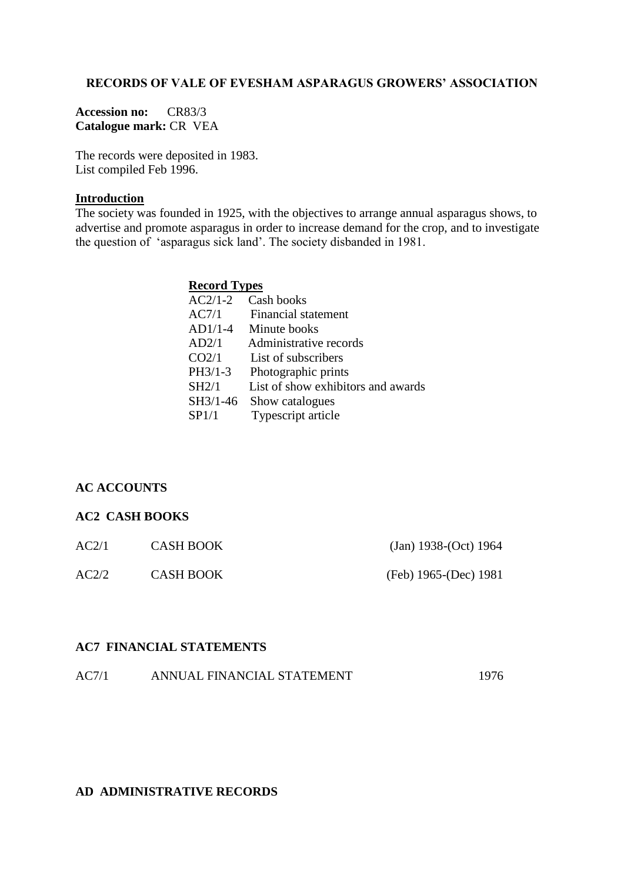### **RECORDS OF VALE OF EVESHAM ASPARAGUS GROWERS' ASSOCIATION**

**Accession no:** CR83/3 **Catalogue mark:** CR VEA

The records were deposited in 1983. List compiled Feb 1996.

#### **Introduction**

The society was founded in 1925, with the objectives to arrange annual asparagus shows, to advertise and promote asparagus in order to increase demand for the crop, and to investigate the question of 'asparagus sick land'. The society disbanded in 1981.

#### **Record Types**

| $AC2/1-2$ | Cash books                         |
|-----------|------------------------------------|
| AC7/1     | Financial statement                |
| AD1/1-4   | Minute books                       |
| AD2/1     | Administrative records             |
| CO2/1     | List of subscribers                |
| PH3/1-3   | Photographic prints                |
| SH2/1     | List of show exhibitors and awards |
| SH3/1-46  | Show catalogues                    |
| SP1/1     | Typescript article                 |

# **AC ACCOUNTS**

#### **AC2 CASH BOOKS**

| AC2/1 | <b>CASH BOOK</b> | (Jan) 1938-(Oct) 1964 |
|-------|------------------|-----------------------|
| AC2/2 | <b>CASH BOOK</b> | (Feb) 1965-(Dec) 1981 |

## **AC7 FINANCIAL STATEMENTS**

# **AD ADMINISTRATIVE RECORDS**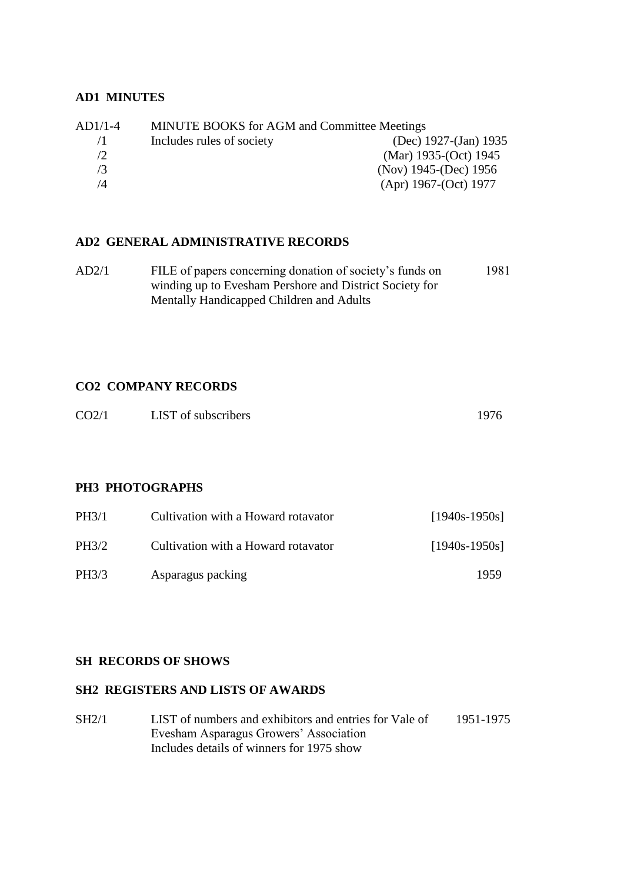## **AD1 MINUTES**

| $AD1/1-4$ | <b>MINUTE BOOKS</b> for AGM and Committee Meetings |                            |
|-----------|----------------------------------------------------|----------------------------|
| 71        | Includes rules of society                          | (Dec) 1927-(Jan) 1935      |
| /2        |                                                    | (Mar) $1935-(Oct)$ 1945    |
| /3        |                                                    | (Nov) $1945$ -(Dec) $1956$ |
| /4        |                                                    | $(Apr)$ 1967-(Oct) 1977    |

### **AD2 GENERAL ADMINISTRATIVE RECORDS**

| AD2/1 | FILE of papers concerning donation of society's funds on | 1981 |
|-------|----------------------------------------------------------|------|
|       | winding up to Evesham Pershore and District Society for  |      |
|       | Mentally Handicapped Children and Adults                 |      |

# **CO2 COMPANY RECORDS**

| CO <sub>2/1</sub><br>LIST of subscribers | 1976 |
|------------------------------------------|------|
|------------------------------------------|------|

## **PH3 PHOTOGRAPHS**

| <b>PH3/1</b> | Cultivation with a Howard rotavator | $[1940s-1950s]$ |
|--------------|-------------------------------------|-----------------|
| <b>PH3/2</b> | Cultivation with a Howard rotavator | $[1940s-1950s]$ |
| PH3/3        | Asparagus packing                   | 1959            |

# **SH RECORDS OF SHOWS**

# **SH2 REGISTERS AND LISTS OF AWARDS**

SH2/1 LIST of numbers and exhibitors and entries for Vale of 1951-1975 Evesham Asparagus Growers' Association Includes details of winners for 1975 show